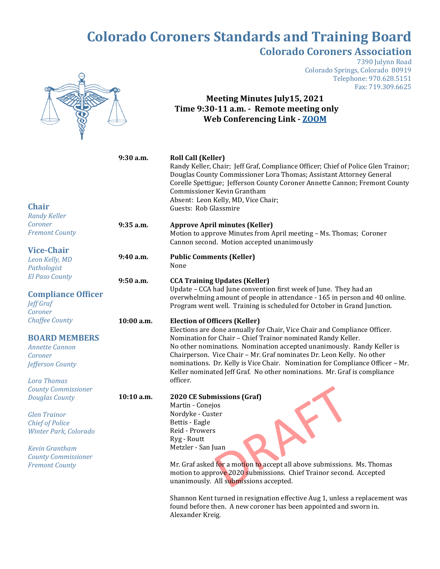## **Colorado Coroners Standards and Training Board Colorado Coroners Association**



7390 Julynn Road Colorado Springs, Colorado 80919 Telephone: 970.628.5151 Fax: 719.309.6625

## **Meeting Minutes July15, 2021 Time 9:30-11 a.m. - Remote meeting only Web Conferencing Link - [ZOOM](https://us02web.zoom.us/j/83801357113?pwd=TDV3cXZkdGx2YWVhdjFaUTU4RTM4QT09)**

| <b>Chair</b><br><b>Randy Keller</b>                                                                                                                                                                           | 9:30 a.m.  | <b>Roll Call (Keller)</b><br>Randy Keller, Chair; Jeff Graf, Compliance Officer; Chief of Police Glen Trainor;<br>Douglas County Commissioner Lora Thomas; Assistant Attorney General<br>Corelle Spettigue; Jefferson County Coroner Annette Cannon; Fremont County<br>Commissioner Kevin Grantham<br>Absent: Leon Kelly, MD, Vice Chair;<br>Guests: Rob Glassmire                                                                                                                                            |
|---------------------------------------------------------------------------------------------------------------------------------------------------------------------------------------------------------------|------------|---------------------------------------------------------------------------------------------------------------------------------------------------------------------------------------------------------------------------------------------------------------------------------------------------------------------------------------------------------------------------------------------------------------------------------------------------------------------------------------------------------------|
| Coroner<br><b>Fremont County</b>                                                                                                                                                                              | 9:35 a.m.  | <b>Approve April minutes (Keller)</b><br>Motion to approve Minutes from April meeting - Ms. Thomas; Coroner<br>Cannon second. Motion accepted unanimously                                                                                                                                                                                                                                                                                                                                                     |
| <b>Vice-Chair</b><br>Leon Kelly, MD<br>Pathologist                                                                                                                                                            | 9:40 a.m.  | <b>Public Comments (Keller)</b><br>None                                                                                                                                                                                                                                                                                                                                                                                                                                                                       |
| <b>El Paso County</b><br><b>Compliance Officer</b><br><b>Jeff Graf</b><br>Coroner                                                                                                                             | 9:50 a.m.  | <b>CCA Training Updates (Keller)</b><br>Update - CCA had June convention first week of June. They had an<br>overwhelming amount of people in attendance - 165 in person and 40 online.<br>Program went well. Training is scheduled for October in Grand Junction.                                                                                                                                                                                                                                             |
| <b>Chaffee County</b><br><b>BOARD MEMBERS</b><br><b>Annette Cannon</b><br>Coroner<br>Jefferson County<br><b>Lora Thomas</b>                                                                                   | 10:00 a.m. | <b>Election of Officers (Keller)</b><br>Elections are done annually for Chair, Vice Chair and Compliance Officer.<br>Nomination for Chair - Chief Trainor nominated Randy Keller.<br>No other nominations. Nomination accepted unanimously. Randy Keller is<br>Chairperson. Vice Chair - Mr. Graf nominates Dr. Leon Kelly. No other<br>nominations. Dr. Kelly is Vice Chair. Nomination for Compliance Officer - Mr.<br>Keller nominated Jeff Graf. No other nominations. Mr. Graf is compliance<br>officer. |
| <b>County Commissioner</b><br><b>Douglas County</b><br><b>Glen Trainor</b><br><b>Chief of Police</b><br>Winter Park, Colorado<br><b>Kevin Grantham</b><br><b>County Commissioner</b><br><b>Fremont County</b> | 10:10 a.m. | 2020 CE Submissions (Graf)<br>Martin - Conejos<br>Nordyke - Custer<br>Bettis - Eagle<br>Reid - Prowers<br>Ryg - Routt<br>Metzler - San Juan<br>Mr. Graf asked for a motion to accept all above submissions. Ms. Thomas<br>motion to approve 2020 submissions. Chief Trainor second. Accepted                                                                                                                                                                                                                  |

unanimously. All submissions accepted.

Shannon Kent turned in resignation effective Aug 1, unless a replacement was found before then. A new coroner has been appointed and sworn in. Alexander Kreig.